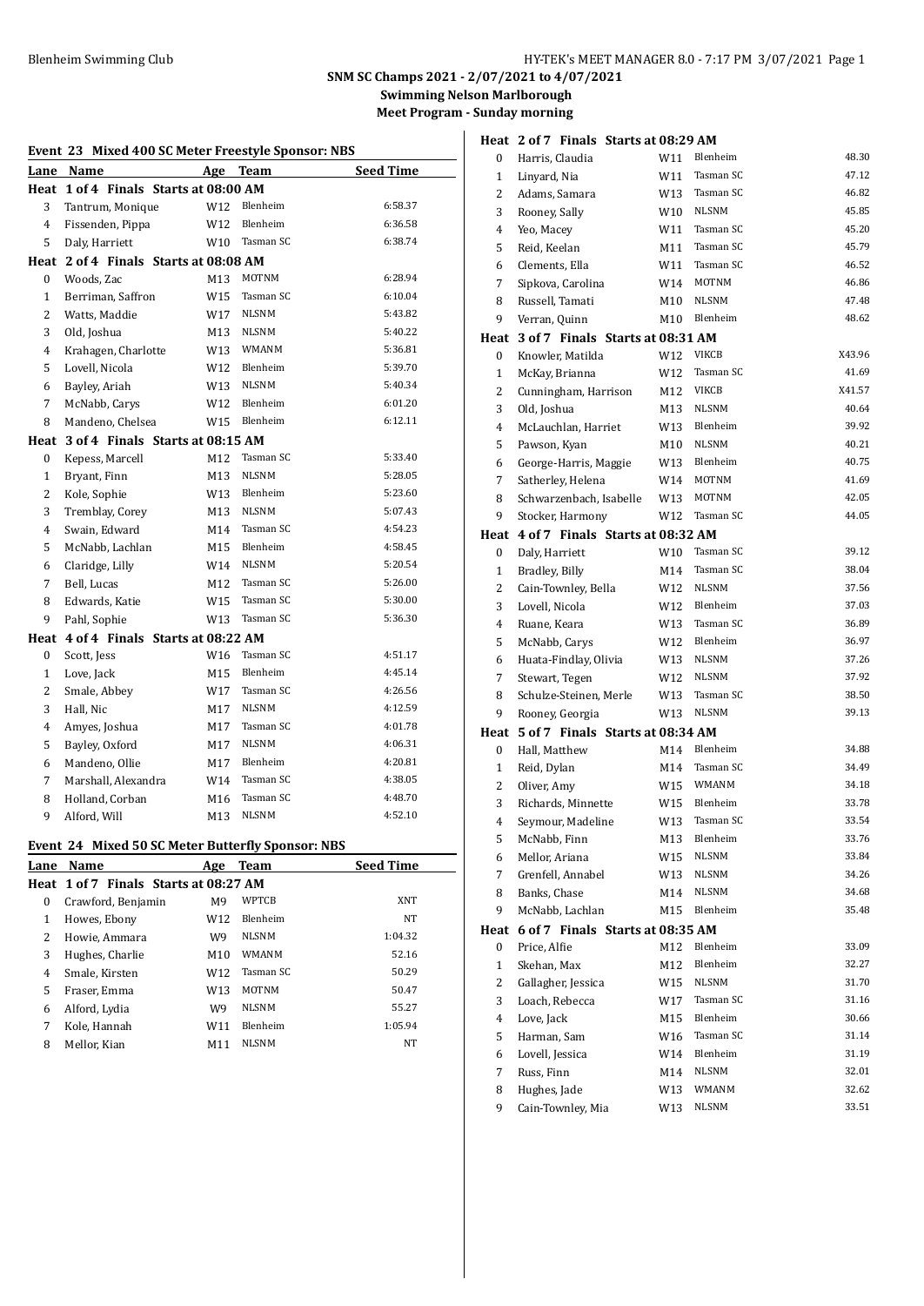# Blenheim Swimming Club HY-TEK's MEET MANAGER 8.0 - 7:17 PM 3/07/2021 Page 1

# **SNM SC Champs 2021 - 2/07/2021 to 4/07/2021 Swimming Nelson Marlborough**

**Meet Program - Sunday morning**

| Event 23 Mixed 400 SC Meter Freestyle Sponsor: NBS |                                                   |     |              |                  |
|----------------------------------------------------|---------------------------------------------------|-----|--------------|------------------|
|                                                    | Lane Name                                         | Age | Team         | <b>Seed Time</b> |
|                                                    | Heat 1 of 4 Finals Starts at 08:00 AM             |     |              |                  |
| 3                                                  | Tantrum, Monique                                  | W12 | Blenheim     | 6:58.37          |
| $\overline{4}$                                     | Fissenden, Pippa                                  | W12 | Blenheim     | 6:36.58          |
| 5                                                  | Daly, Harriett                                    | W10 | Tasman SC    | 6:38.74          |
|                                                    | Heat 2 of 4 Finals Starts at 08:08 AM             |     |              |                  |
| $\boldsymbol{0}$                                   | Woods, Zac                                        | M13 | <b>MOTNM</b> | 6:28.94          |
| $\mathbf{1}$                                       | Berriman, Saffron                                 | W15 | Tasman SC    | 6:10.04          |
| 2                                                  | Watts, Maddie                                     | W17 | <b>NLSNM</b> | 5:43.82          |
| 3                                                  | Old, Joshua                                       | M13 | <b>NLSNM</b> | 5:40.22          |
| 4                                                  | Krahagen, Charlotte                               | W13 | <b>WMANM</b> | 5:36.81          |
| 5                                                  | Lovell, Nicola                                    | W12 | Blenheim     | 5:39.70          |
| 6                                                  | Bayley, Ariah                                     | W13 | <b>NLSNM</b> | 5:40.34          |
| 7                                                  | McNabb, Carys                                     | W12 | Blenheim     | 6:01.20          |
| 8                                                  | Mandeno, Chelsea                                  | W15 | Blenheim     | 6:12.11          |
|                                                    | Heat 3 of 4 Finals Starts at 08:15 AM             |     |              |                  |
| 0                                                  | Kepess, Marcell                                   | M12 | Tasman SC    | 5:33.40          |
| $\mathbf{1}$                                       | Bryant, Finn                                      | M13 | NLSNM        | 5:28.05          |
| $\overline{c}$                                     | Kole, Sophie                                      | W13 | Blenheim     | 5:23.60          |
| 3                                                  | Tremblay, Corey                                   | M13 | <b>NLSNM</b> | 5:07.43          |
| 4                                                  | Swain, Edward                                     | M14 | Tasman SC    | 4:54.23          |
| 5                                                  | McNabb, Lachlan                                   | M15 | Blenheim     | 4:58.45          |
| 6                                                  | Claridge, Lilly                                   | W14 | <b>NLSNM</b> | 5:20.54          |
| 7                                                  | Bell, Lucas                                       | M12 | Tasman SC    | 5:26.00          |
| 8                                                  | Edwards, Katie                                    | W15 | Tasman SC    | 5:30.00          |
| 9                                                  | Pahl, Sophie                                      | W13 | Tasman SC    | 5:36.30          |
|                                                    | Heat 4 of 4 Finals Starts at 08:22 AM             |     |              |                  |
| $\bf{0}$                                           | Scott, Jess                                       | W16 | Tasman SC    | 4:51.17          |
| $\mathbf{1}$                                       | Love, Jack                                        | M15 | Blenheim     | 4:45.14          |
| 2                                                  | Smale, Abbey                                      | W17 | Tasman SC    | 4:26.56          |
| 3                                                  | Hall, Nic                                         | M17 | <b>NLSNM</b> | 4:12.59          |
| $\overline{4}$                                     | Amyes, Joshua                                     | M17 | Tasman SC    | 4:01.78          |
| 5                                                  | Bayley, Oxford                                    | M17 | <b>NLSNM</b> | 4:06.31          |
| 6                                                  | Mandeno, Ollie                                    | M17 | Blenheim     | 4:20.81          |
| 7                                                  | Marshall, Alexandra                               | W14 | Tasman SC    | 4:38.05          |
| 8                                                  | Holland, Corban                                   | M16 | Tasman SC    | 4:48.70          |
| 9                                                  | Alford, Will                                      | M13 | <b>NLSNM</b> | 4:52.10          |
|                                                    | Event 24 Mixed 50 SC Meter Butterfly Sponsor: NBS |     |              |                  |
| Lane                                               | Name                                              | Age | Team         | <b>Seed Time</b> |

| Lane | Name                                  | Age             | Team            | <b>Seed Time</b> |
|------|---------------------------------------|-----------------|-----------------|------------------|
|      | Heat 1 of 7 Finals Starts at 08:27 AM |                 |                 |                  |
| 0    | Crawford, Benjamin                    | M <sub>9</sub>  | <b>WPTCB</b>    | XNT              |
| 1    | Howes, Ebony                          | W12             | Blenheim        | NT               |
| 2    | Howie, Ammara                         | W9              | <b>NLSNM</b>    | 1:04.32          |
| 3    | Hughes, Charlie                       | M10             | <b>WMANM</b>    | 52.16            |
| 4    | Smale, Kirsten                        | W12             | Tasman SC       | 50.29            |
| 5    | Fraser, Emma                          | W <sub>13</sub> | <b>MOTNM</b>    | 50.47            |
| 6    | Alford, Lydia                         | W9              | <b>NLSNM</b>    | 55.27            |
| 7    | Kole, Hannah                          | W11             | <b>Blenheim</b> | 1:05.94          |
| 8    | Mellor, Kian                          | M11             | <b>NLSNM</b>    | NT               |
|      |                                       |                 |                 |                  |

|                | Heat 2 of 7 Finals Starts at 08:29 AM |     |              |        |
|----------------|---------------------------------------|-----|--------------|--------|
| 0              | Harris, Claudia                       | W11 | Blenheim     | 48.30  |
| 1              | Linyard, Nia                          | W11 | Tasman SC    | 47.12  |
| $\overline{2}$ | Adams, Samara                         | W13 | Tasman SC    | 46.82  |
| 3              | Rooney, Sally                         | W10 | <b>NLSNM</b> | 45.85  |
| 4              | Yeo, Macey                            | W11 | Tasman SC    | 45.20  |
| 5              | Reid, Keelan                          | M11 | Tasman SC    | 45.79  |
| 6              | Clements, Ella                        | W11 | Tasman SC    | 46.52  |
| 7              | Sipkova, Carolina                     | W14 | MOTNM        | 46.86  |
| 8              | Russell, Tamati                       | M10 | <b>NLSNM</b> | 47.48  |
| 9              | Verran, Quinn                         | M10 | Blenheim     | 48.62  |
| Heat           | 3 of 7 Finals Starts at 08:31 AM      |     |              |        |
| 0              | Knowler, Matilda                      | W12 | <b>VIKCB</b> | X43.96 |
| 1              | McKay, Brianna                        | W12 | Tasman SC    | 41.69  |
| 2              | Cunningham, Harrison                  | M12 | <b>VIKCB</b> | X41.57 |
| 3              | Old, Joshua                           | M13 | <b>NLSNM</b> | 40.64  |
| 4              | McLauchlan, Harriet                   |     | W13 Blenheim | 39.92  |
| 5              | Pawson, Kyan                          | M10 | <b>NLSNM</b> | 40.21  |
| 6              | George-Harris, Maggie                 |     | W13 Blenheim | 40.75  |
| 7              | Satherley, Helena                     |     | W14 MOTNM    | 41.69  |
| 8              | Schwarzenbach, Isabelle               | W13 | MOTNM        | 42.05  |
| 9              | Stocker, Harmony                      | W12 | Tasman SC    | 44.05  |
|                | Heat 4 of 7 Finals Starts at 08:32 AM |     |              |        |
| 0              | Daly, Harriett                        | W10 | Tasman SC    | 39.12  |
| 1              | Bradley, Billy                        | M14 | Tasman SC    | 38.04  |
| 2              | Cain-Townley, Bella                   | W12 | <b>NLSNM</b> | 37.56  |
| 3              | Lovell, Nicola                        | W12 | Blenheim     | 37.03  |
| 4              | Ruane, Keara                          | W13 | Tasman SC    | 36.89  |
| 5              | McNabb, Carys                         | W12 | Blenheim     | 36.97  |
| 6              | Huata-Findlay, Olivia                 | W13 | <b>NLSNM</b> | 37.26  |
| 7              | Stewart, Tegen                        | W12 | <b>NLSNM</b> | 37.92  |
| 8              | Schulze-Steinen, Merle                | W13 | Tasman SC    | 38.50  |
| 9              | Rooney, Georgia                       | W13 | NLSNM        | 39.13  |
|                | Heat 5 of 7 Finals Starts at 08:34 AM |     |              |        |
| 0              | Hall, Matthew                         |     | M14 Blenheim | 34.88  |
| 1              | Reid, Dylan                           | M14 | Tasman SC    | 34.49  |
| $\overline{2}$ | Oliver, Amy                           |     | W15 WMANM    | 34.18  |
| 3              | Richards, Minnette                    | W15 | Blenheim     | 33.78  |
| 4              | Seymour. Madeline                     | W13 | Tasman SC    | 33.54  |
| 5              | McNabb, Finn                          | M13 | Blenheim     | 33.76  |
| 6              | Mellor, Ariana                        | W15 | NLSNM        | 33.84  |
| 7              | Grenfell, Annabel                     | W13 | NLSNM        | 34.26  |
| 8              | Banks, Chase                          | M14 | <b>NLSNM</b> | 34.68  |
| 9              | McNabb, Lachlan                       | M15 | Blenheim     | 35.48  |
| Heat           | 6 of 7 Finals Starts at 08:35 AM      |     |              |        |
| 0              | Price, Alfie                          | M12 | Blenheim     | 33.09  |
| $\mathbf{1}$   | Skehan, Max                           | M12 | Blenheim     | 32.27  |
| $\overline{c}$ | Gallagher, Jessica                    | W15 | NLSNM        | 31.70  |
| 3              | Loach, Rebecca                        | W17 | Tasman SC    | 31.16  |
| 4              | Love, Jack                            | M15 | Blenheim     | 30.66  |
| 5              | Harman, Sam                           | W16 | Tasman SC    | 31.14  |
| 6              | Lovell, Jessica                       | W14 | Blenheim     | 31.19  |
| 7              | Russ, Finn                            | M14 | NLSNM        | 32.01  |
| 8              | Hughes, Jade                          | W13 | WMANM        | 32.62  |
| 9              | Cain-Townley, Mia                     | W13 | <b>NLSNM</b> | 33.51  |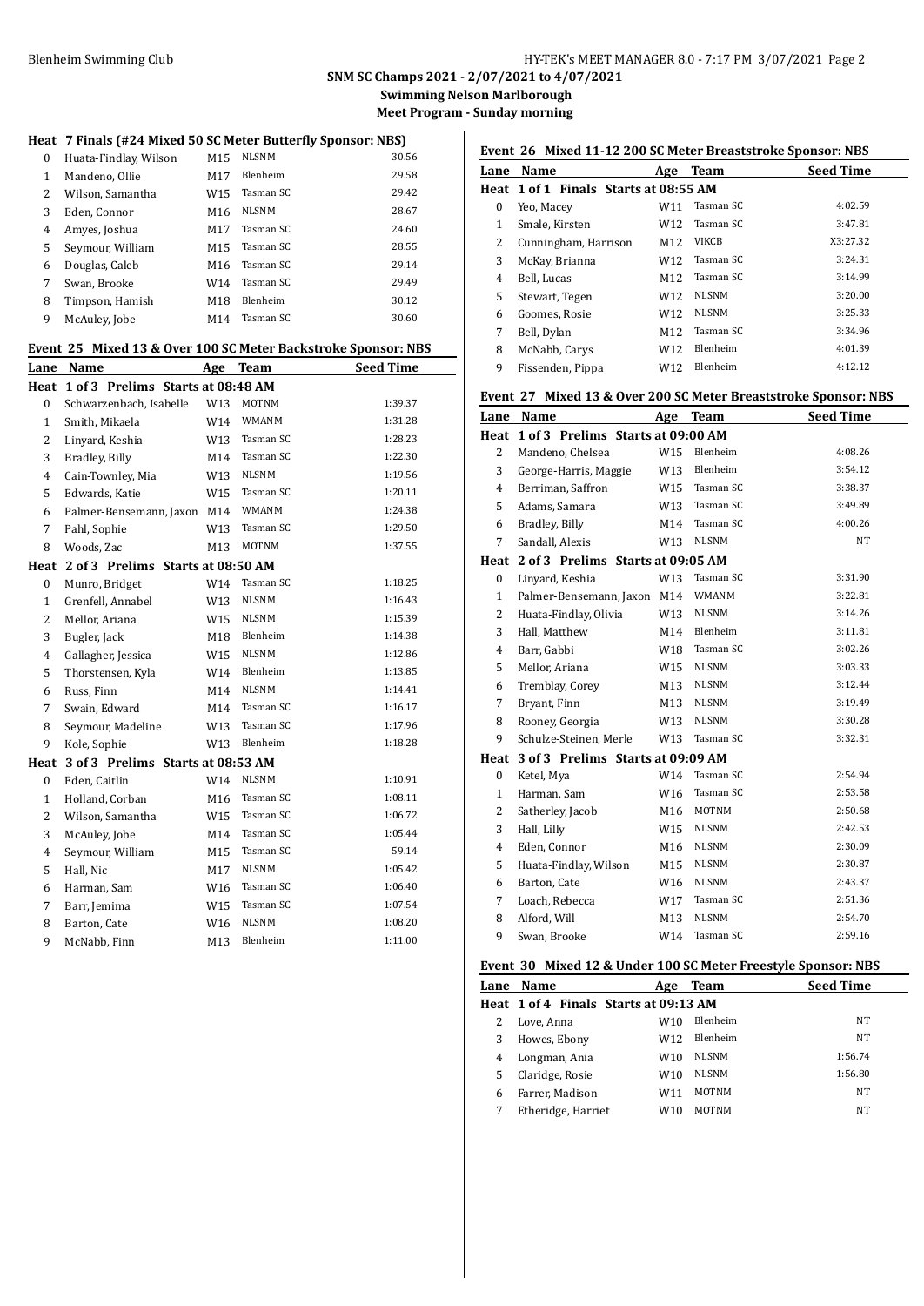**SNM SC Champs 2021 - 2/07/2021 to 4/07/2021 Swimming Nelson Marlborough**

**Meet Program - Sunday morning**

## **Heat 7 Finals (#24 Mixed 50 SC Meter Butterfly Sponsor: NBS)**

| $\Omega$ | Huata-Findlay, Wilson | M <sub>15</sub> | <b>NLSNM</b>    | 30.56 |
|----------|-----------------------|-----------------|-----------------|-------|
| 1        | Mandeno, Ollie        | M17             | <b>Blenheim</b> | 29.58 |
| 2        | Wilson, Samantha      | W15             | Tasman SC       | 29.42 |
| 3        | Eden, Connor          | M16             | <b>NLSNM</b>    | 28.67 |
| 4        | Amyes, Joshua         | M17             | Tasman SC       | 24.60 |
| 5        | Seymour, William      | M15             | Tasman SC       | 28.55 |
| 6        | Douglas, Caleb        | M16             | Tasman SC       | 29.14 |
| 7        | Swan, Brooke          | W14             | Tasman SC       | 29.49 |
| 8        | Timpson, Hamish       | M18             | <b>Blenheim</b> | 30.12 |
| 9        | McAuley, Jobe         | M14             | Tasman SC       | 30.60 |

#### **Event 25 Mixed 13 & Over 100 SC Meter Backstroke Sponsor: NBS**

| Lane             | Name                              | Age             | <b>Team</b>  | <b>Seed Time</b> |
|------------------|-----------------------------------|-----------------|--------------|------------------|
| Heat             | 1 of 3 Prelims Starts at 08:48 AM |                 |              |                  |
| $\boldsymbol{0}$ | Schwarzenbach, Isabelle           | W13             | <b>MOTNM</b> | 1:39.37          |
| $\mathbf{1}$     | Smith, Mikaela                    | W14             | WMANM        | 1:31.28          |
| $\overline{c}$   | Linyard, Keshia                   | W13             | Tasman SC    | 1:28.23          |
| 3                | Bradley, Billy                    | M14             | Tasman SC    | 1:22.30          |
| $\overline{4}$   | Cain-Townley, Mia                 | W13             | <b>NLSNM</b> | 1:19.56          |
| 5                | Edwards, Katie                    | W15             | Tasman SC    | 1:20.11          |
| 6                | Palmer-Bensemann, Jaxon           | M14             | <b>WMANM</b> | 1:24.38          |
| 7                | Pahl, Sophie                      | W13             | Tasman SC    | 1:29.50          |
| 8                | Woods, Zac                        | M13             | <b>MOTNM</b> | 1:37.55          |
| Heat             | 2 of 3 Prelims Starts at 08:50 AM |                 |              |                  |
| $\boldsymbol{0}$ | Munro, Bridget                    | W14             | Tasman SC    | 1:18.25          |
| $\mathbf{1}$     | Grenfell, Annabel                 | W13             | <b>NLSNM</b> | 1:16.43          |
| $\overline{2}$   | Mellor, Ariana                    | W <sub>15</sub> | <b>NLSNM</b> | 1:15.39          |
| 3                | Bugler, Jack                      | M18             | Blenheim     | 1:14.38          |
| $\overline{4}$   | Gallagher, Jessica                | W15             | <b>NLSNM</b> | 1:12.86          |
| 5                | Thorstensen, Kyla                 | W14             | Blenheim     | 1:13.85          |
| 6                | Russ, Finn                        | M14             | <b>NLSNM</b> | 1:14.41          |
| 7                | Swain, Edward                     | M14             | Tasman SC    | 1:16.17          |
| 8                | Seymour, Madeline                 | W13             | Tasman SC    | 1:17.96          |
| 9                | Kole, Sophie                      | W13             | Blenheim     | 1:18.28          |
| Heat             | 3 of 3 Prelims Starts at 08:53 AM |                 |              |                  |
| $\boldsymbol{0}$ | Eden, Caitlin                     | W14             | <b>NLSNM</b> | 1:10.91          |
| $\mathbf{1}$     | Holland, Corban                   | M16             | Tasman SC    | 1:08.11          |
| 2                | Wilson, Samantha                  | W15             | Tasman SC    | 1:06.72          |
| 3                | McAuley, Jobe                     | M14             | Tasman SC    | 1:05.44          |
| $\overline{4}$   | Seymour, William                  | M15             | Tasman SC    | 59.14            |
| 5                | Hall, Nic                         | M17             | <b>NLSNM</b> | 1:05.42          |
| 6                | Harman, Sam                       | W16             | Tasman SC    | 1:06.40          |
| 7                | Barr, Jemima                      | W15             | Tasman SC    | 1:07.54          |
| 8                | Barton, Cate                      | W16             | <b>NLSNM</b> | 1:08.20          |
| 9                | McNabb, Finn                      | M13             | Blenheim     | 1:11.00          |

# **Event 26 Mixed 11-12 200 SC Meter Breaststroke Sponsor: NBS**

| Lane | Name                                  | Age             | Team         | <b>Seed Time</b> |
|------|---------------------------------------|-----------------|--------------|------------------|
|      | Heat 1 of 1 Finals Starts at 08:55 AM |                 |              |                  |
| 0    | Yeo, Macey                            | W11             | Tasman SC    | 4:02.59          |
| 1    | Smale, Kirsten                        | W12             | Tasman SC    | 3:47.81          |
| 2    | Cunningham, Harrison                  | M <sub>12</sub> | <b>VIKCB</b> | X3:27.32         |
| 3    | McKay, Brianna                        | W12             | Tasman SC    | 3:24.31          |
| 4    | Bell, Lucas                           | M12             | Tasman SC    | 3:14.99          |
| 5    | Stewart, Tegen                        | W12             | <b>NLSNM</b> | 3:20.00          |
| 6    | Goomes, Rosie                         | W12             | <b>NLSNM</b> | 3:25.33          |
| 7    | Bell, Dylan                           | M12             | Tasman SC    | 3:34.96          |
| 8    | McNabb, Carys                         | W12             | Blenheim     | 4:01.39          |
| 9    | Fissenden, Pippa                      | W12             | Blenheim     | 4:12.12          |

## **Event 27 Mixed 13 & Over 200 SC Meter Breaststroke Sponsor: NBS**

| Lane           | Name                                   | Age | Team         | <b>Seed Time</b> |
|----------------|----------------------------------------|-----|--------------|------------------|
|                | Heat 1 of 3 Prelims Starts at 09:00 AM |     |              |                  |
| 2              | Mandeno, Chelsea                       | W15 | Blenheim     | 4:08.26          |
| 3              | George-Harris, Maggie                  | W13 | Blenheim     | 3:54.12          |
| 4              | Berriman, Saffron                      | W15 | Tasman SC    | 3:38.37          |
| 5              | Adams, Samara                          | W13 | Tasman SC    | 3:49.89          |
| 6              | Bradley, Billy                         | M14 | Tasman SC    | 4:00.26          |
| 7              | Sandall, Alexis                        | W13 | <b>NLSNM</b> | <b>NT</b>        |
| Heat           | 2 of 3 Prelims Starts at 09:05 AM      |     |              |                  |
| $\bf{0}$       | Linyard, Keshia                        | W13 | Tasman SC    | 3:31.90          |
| 1              | Palmer-Bensemann, Jaxon                | M14 | <b>WMANM</b> | 3:22.81          |
| 2              | Huata-Findlay, Olivia                  | W13 | <b>NLSNM</b> | 3:14.26          |
| 3              | Hall, Matthew                          | M14 | Blenheim     | 3:11.81          |
| 4              | Barr, Gabbi                            | W18 | Tasman SC    | 3:02.26          |
| 5              | Mellor, Ariana                         | W15 | <b>NLSNM</b> | 3:03.33          |
| 6              | Tremblay, Corey                        | M13 | <b>NLSNM</b> | 3:12.44          |
| 7              | Bryant, Finn                           | M13 | <b>NLSNM</b> | 3:19.49          |
| 8              | Rooney, Georgia                        | W13 | <b>NLSNM</b> | 3:30.28          |
| 9              | Schulze-Steinen, Merle                 | W13 | Tasman SC    | 3:32.31          |
|                | Heat 3 of 3 Prelims Starts at 09:09 AM |     |              |                  |
| $\bf{0}$       | Ketel, Mya                             | W14 | Tasman SC    | 2:54.94          |
| $\mathbf{1}$   | Harman, Sam                            | W16 | Tasman SC    | 2:53.58          |
| $\overline{2}$ | Satherley, Jacob                       | M16 | <b>MOTNM</b> | 2:50.68          |
| 3              | Hall, Lilly                            | W15 | <b>NLSNM</b> | 2:42.53          |
| 4              | Eden, Connor                           | M16 | NLSNM        | 2:30.09          |
| 5              | Huata-Findlay, Wilson                  | M15 | <b>NLSNM</b> | 2:30.87          |
| 6              | Barton, Cate                           | W16 | <b>NLSNM</b> | 2:43.37          |
| 7              | Loach, Rebecca                         | W17 | Tasman SC    | 2:51.36          |
| 8              | Alford, Will                           | M13 | <b>NLSNM</b> | 2:54.70          |
| 9              | Swan, Brooke                           | W14 | Tasman SC    | 2:59.16          |

#### **Event 30 Mixed 12 & Under 100 SC Meter Freestyle Sponsor: NBS**

| Lane | Name                                  | Age | <b>Team</b>     | <b>Seed Time</b> |
|------|---------------------------------------|-----|-----------------|------------------|
|      | Heat 1 of 4 Finals Starts at 09:13 AM |     |                 |                  |
|      | Love, Anna                            | W10 | <b>Blenheim</b> | NT               |
|      | Howes, Ebony                          | W12 | <b>Blenheim</b> | <b>NT</b>        |
| 4    | Longman, Ania                         | W10 | <b>NLSNM</b>    | 1:56.74          |
| 5    | Claridge, Rosie                       | W10 | <b>NLSNM</b>    | 1:56.80          |
| 6    | Farrer, Madison                       | W11 | <b>MOTNM</b>    | <b>NT</b>        |
|      | Etheridge, Harriet                    | W10 | <b>MOTNM</b>    | NT               |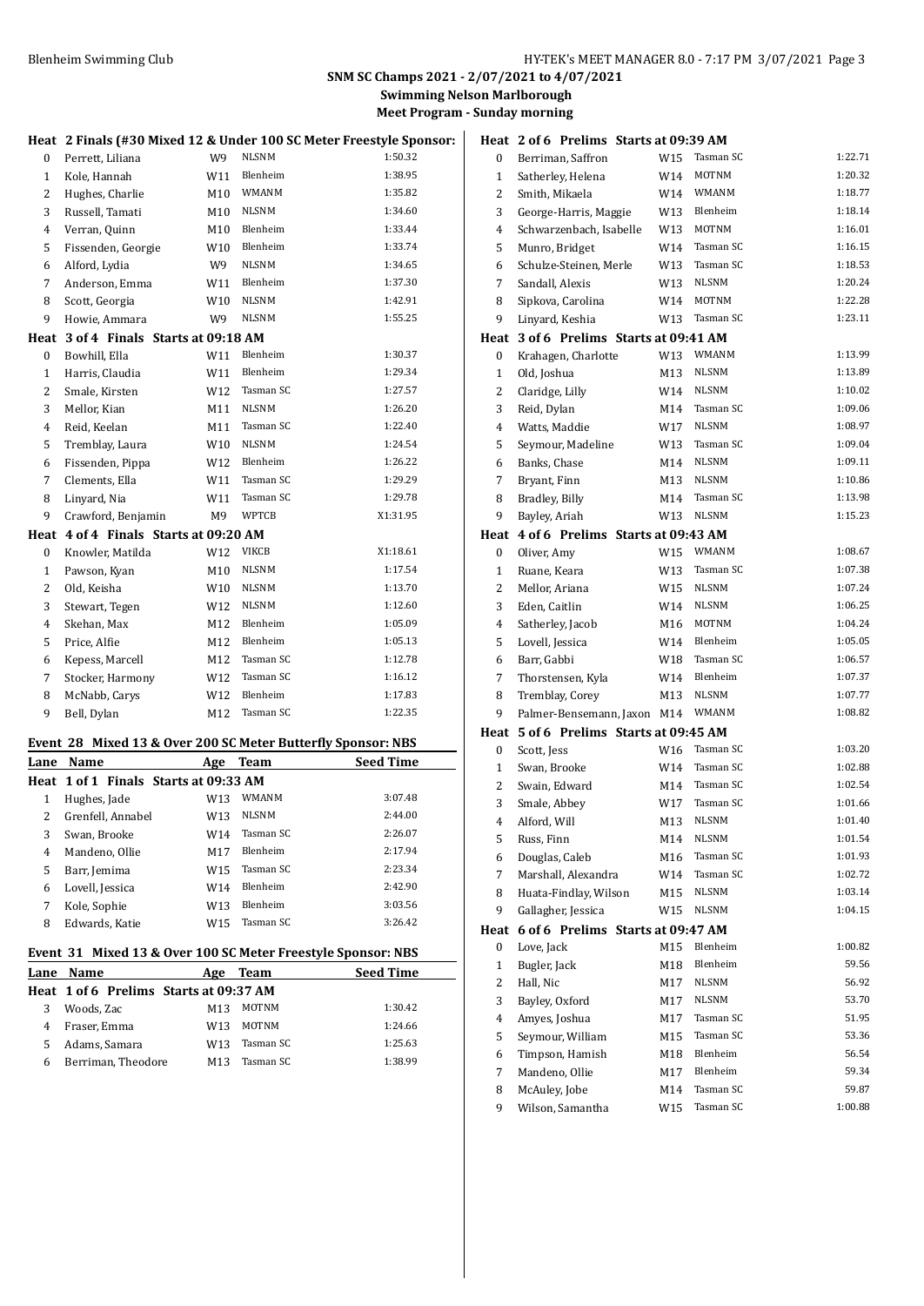# **SNM SC Champs 2021 - 2/07/2021 to 4/07/2021**

**Swimming Nelson Marlborough Meet Program - Sunday morning**

|                  | Heat 2 Finals (#30 Mixed 12 & Under 100 SC Meter Freestyle Sponsor: |     |              |                         | $\mathbf H$ |
|------------------|---------------------------------------------------------------------|-----|--------------|-------------------------|-------------|
| $\mathbf{0}$     | Perrett, Liliana                                                    | W9  | <b>NLSNM</b> | 1:50.32                 |             |
| $\mathbf{1}$     | Kole, Hannah                                                        | W11 | Blenheim     | 1:38.95                 |             |
| 2                | Hughes, Charlie                                                     | M10 | WMANM        | 1:35.82                 |             |
| 3                | Russell, Tamati                                                     | M10 | <b>NLSNM</b> | 1:34.60                 |             |
| $\overline{4}$   | Verran, Quinn                                                       | M10 | Blenheim     | 1:33.44                 |             |
| 5                | Fissenden, Georgie                                                  | W10 | Blenheim     | 1:33.74                 |             |
| 6                | Alford, Lydia                                                       | W9  | <b>NLSNM</b> | 1:34.65                 |             |
| 7                | Anderson, Emma                                                      | W11 | Blenheim     | 1:37.30                 |             |
| 8                | Scott, Georgia                                                      | W10 | <b>NLSNM</b> | 1:42.91                 |             |
| 9                | Howie, Ammara                                                       | W9  | <b>NLSNM</b> | 1:55.25                 |             |
|                  | Heat 3 of 4 Finals Starts at 09:18 AM                               |     |              |                         | $\mathbf H$ |
| $\mathbf{0}$     | Bowhill, Ella                                                       | W11 | Blenheim     | 1:30.37                 |             |
| $\mathbf{1}$     | Harris, Claudia                                                     | W11 | Blenheim     | 1:29.34                 |             |
| 2                | Smale, Kirsten                                                      | W12 | Tasman SC    | 1:27.57                 |             |
| 3                | Mellor, Kian                                                        | M11 | <b>NLSNM</b> | 1:26.20                 |             |
| $\overline{4}$   | Reid, Keelan                                                        | M11 | Tasman SC    | 1:22.40                 |             |
| 5                | Tremblay, Laura                                                     | W10 | NLSNM        | 1:24.54                 |             |
| 6                | Fissenden, Pippa                                                    | W12 | Blenheim     | 1:26.22                 |             |
| 7                | Clements, Ella                                                      | W11 | Tasman SC    | 1:29.29                 |             |
| 8                | Linyard, Nia                                                        | W11 | Tasman SC    | 1:29.78                 |             |
| 9                | Crawford, Benjamin                                                  | M9  | <b>WPTCB</b> | X1:31.95                |             |
|                  | Heat 4 of 4 Finals Starts at 09:20 AM                               |     |              |                         | $\mathbf H$ |
| $\boldsymbol{0}$ | Knowler, Matilda                                                    | W12 | <b>VIKCB</b> | X1:18.61                |             |
| $\mathbf{1}$     | Pawson, Kyan                                                        | M10 | NLSNM        | 1:17.54                 |             |
| $\overline{2}$   | Old, Keisha                                                         | W10 | <b>NLSNM</b> | 1:13.70                 |             |
| 3                | Stewart, Tegen                                                      | W12 | NLSNM        | 1:12.60                 |             |
| 4                | Skehan, Max                                                         | M12 | Blenheim     | 1:05.09                 |             |
| 5                | Price, Alfie                                                        | M12 | Blenheim     | 1:05.13                 |             |
| 6                | Kepess, Marcell                                                     | M12 | Tasman SC    | 1:12.78                 |             |
| 7                | Stocker, Harmony                                                    | W12 | Tasman SC    | 1:16.12                 |             |
| 8                | McNabb, Carys                                                       | W12 | Blenheim     | 1:17.83                 |             |
| 9                | Bell, Dylan                                                         | M12 | Tasman SC    | 1:22.35                 |             |
|                  | 0.0111111100                                                        |     |              | $\overline{\mathbf{m}}$ | Н           |

## **Event 28 Mixed 13 & Over 200 SC Meter Butterfly Sponsor: NBS**

| Lane | Name                                  | Age             | Team            | <b>Seed Time</b> |
|------|---------------------------------------|-----------------|-----------------|------------------|
|      | Heat 1 of 1 Finals Starts at 09:33 AM |                 |                 |                  |
| 1    | Hughes, Jade                          | W13             | <b>WMANM</b>    | 3:07.48          |
| 2    | Grenfell, Annabel                     | W <sub>13</sub> | <b>NLSNM</b>    | 2:44.00          |
| 3    | Swan, Brooke                          | W14             | Tasman SC       | 2:26.07          |
| 4    | Mandeno, Ollie                        | M17             | <b>Blenheim</b> | 2:17.94          |
| 5    | Barr, Jemima                          | W <sub>15</sub> | Tasman SC       | 2:23.34          |
| 6    | Lovell, Jessica                       | W14             | Blenheim        | 2:42.90          |
|      | Kole, Sophie                          | W <sub>13</sub> | Blenheim        | 3:03.56          |
| 8    | Edwards, Katie                        | W15             | Tasman SC       | 3:26.42          |

## **Event 31 Mixed 13 & Over 100 SC Meter Freestyle Sponsor: NBS**

|   | Lane Name                              | Age             | Team         | <b>Seed Time</b> |
|---|----------------------------------------|-----------------|--------------|------------------|
|   | Heat 1 of 6 Prelims Starts at 09:37 AM |                 |              |                  |
|   | Woods, Zac                             | M <sub>13</sub> | <b>MOTNM</b> | 1:30.42          |
|   | Fraser, Emma                           | W <sub>13</sub> | <b>MOTNM</b> | 1:24.66          |
|   | Adams, Samara                          | W <sub>13</sub> | Tasman SC    | 1:25.63          |
| 6 | Berriman, Theodore                     | M <sub>13</sub> | Tasman SC    | 1:38.99          |

|                | Heat 2 of 6 Prelims Starts at 09:39 AM |     |              |         |
|----------------|----------------------------------------|-----|--------------|---------|
| 0              | Berriman, Saffron                      | W15 | Tasman SC    | 1:22.71 |
| $\mathbf{1}$   | Satherley, Helena                      | W14 | MOTNM        | 1:20.32 |
| 2              | Smith, Mikaela                         | W14 | <b>WMANM</b> | 1:18.77 |
| 3              | George-Harris, Maggie                  | W13 | Blenheim     | 1:18.14 |
| 4              | Schwarzenbach, Isabelle                | W13 | MOTNM        | 1:16.01 |
| 5              | Munro, Bridget                         | W14 | Tasman SC    | 1:16.15 |
| 6              | Schulze-Steinen, Merle                 | W13 | Tasman SC    | 1:18.53 |
| 7              | Sandall, Alexis                        | W13 | NLSNM        | 1:20.24 |
| 8              | Sipkova, Carolina                      | W14 | <b>MOTNM</b> | 1:22.28 |
| 9              | Linyard, Keshia                        | W13 | Tasman SC    | 1:23.11 |
|                | Heat 3 of 6 Prelims Starts at 09:41 AM |     |              |         |
| 0              | Krahagen, Charlotte                    | W13 | WMANM        | 1:13.99 |
| $\mathbf{1}$   | Old, Joshua                            | M13 | <b>NLSNM</b> | 1:13.89 |
| 2              | Claridge, Lilly                        | W14 | <b>NLSNM</b> | 1:10.02 |
| 3              | Reid, Dylan                            | M14 | Tasman SC    | 1:09.06 |
| 4              | Watts, Maddie                          | W17 | <b>NLSNM</b> | 1:08.97 |
| 5              | Seymour, Madeline                      | W13 | Tasman SC    | 1:09.04 |
| 6              | Banks, Chase                           | M14 | <b>NLSNM</b> | 1:09.11 |
| 7              | Bryant, Finn                           | M13 | <b>NLSNM</b> | 1:10.86 |
| 8              | Bradley, Billy                         | M14 | Tasman SC    | 1:13.98 |
| 9              | Bayley, Ariah                          | W13 | <b>NLSNM</b> | 1:15.23 |
|                | Heat 4 of 6 Prelims Starts at 09:43 AM |     |              |         |
| 0              | Oliver, Amy                            | W15 | WMANM        | 1:08.67 |
| $\mathbf{1}$   | Ruane, Keara                           | W13 | Tasman SC    | 1:07.38 |
| 2              | Mellor, Ariana                         | W15 | NLSNM        | 1:07.24 |
| 3              | Eden, Caitlin                          | W14 | NLSNM        | 1:06.25 |
| 4              | Satherley, Jacob                       | M16 | MOTNM        | 1:04.24 |
| 5              | Lovell, Jessica                        | W14 | Blenheim     | 1:05.05 |
| 6              | Barr, Gabbi                            | W18 | Tasman SC    | 1:06.57 |
| 7              | Thorstensen, Kyla                      | W14 | Blenheim     | 1:07.37 |
| 8              | Tremblay, Corey                        | M13 | <b>NLSNM</b> | 1:07.77 |
| 9              | Palmer-Bensemann, Jaxon M14            |     | WMANM        | 1:08.82 |
|                | Heat 5 of 6 Prelims Starts at 09:45 AM |     |              |         |
| 0              | Scott, Jess                            | W16 | Tasman SC    | 1:03.20 |
| $\mathbf{1}$   | Swan, Brooke                           | W14 | Tasman SC    | 1:02.88 |
| 2              | Swain, Edward                          | M14 | Tasman SC    | 1:02.54 |
| 3              | Smale, Abbey                           | W17 | Tasman SC    | 1:01.66 |
| $\overline{4}$ | Alford, Will                           | M13 | <b>NLSNM</b> | 1:01.40 |
| 5              | Russ, Finn                             | M14 | NLSNM        | 1:01.54 |
| 6              | Douglas, Caleb                         | M16 | Tasman SC    | 1:01.93 |
| 7              | Marshall, Alexandra                    | W14 | Tasman SC    | 1:02.72 |
| 8              | Huata-Findlay, Wilson                  | M15 | <b>NLSNM</b> | 1:03.14 |
| 9              | Gallagher, Jessica                     | W15 | NLSNM        | 1:04.15 |
| Heat           | 6 of 6 Prelims Starts at 09:47 AM      |     |              |         |
| 0              | Love, Jack                             | M15 | Blenheim     | 1:00.82 |
| 1              | Bugler, Jack                           | M18 | Blenheim     | 59.56   |
| $\overline{c}$ | Hall, Nic                              | M17 | <b>NLSNM</b> | 56.92   |
| 3              | Bayley, Oxford                         | M17 | NLSNM        | 53.70   |
| 4              | Amyes, Joshua                          | M17 | Tasman SC    | 51.95   |
| 5              | Seymour, William                       | M15 | Tasman SC    | 53.36   |
| 6              | Timpson, Hamish                        | M18 | Blenheim     | 56.54   |
| 7              | Mandeno, Ollie                         | M17 | Blenheim     | 59.34   |
| 8              | McAuley, Jobe                          | M14 | Tasman SC    | 59.87   |
| 9              | Wilson, Samantha                       | W15 | Tasman SC    | 1:00.88 |
|                |                                        |     |              |         |